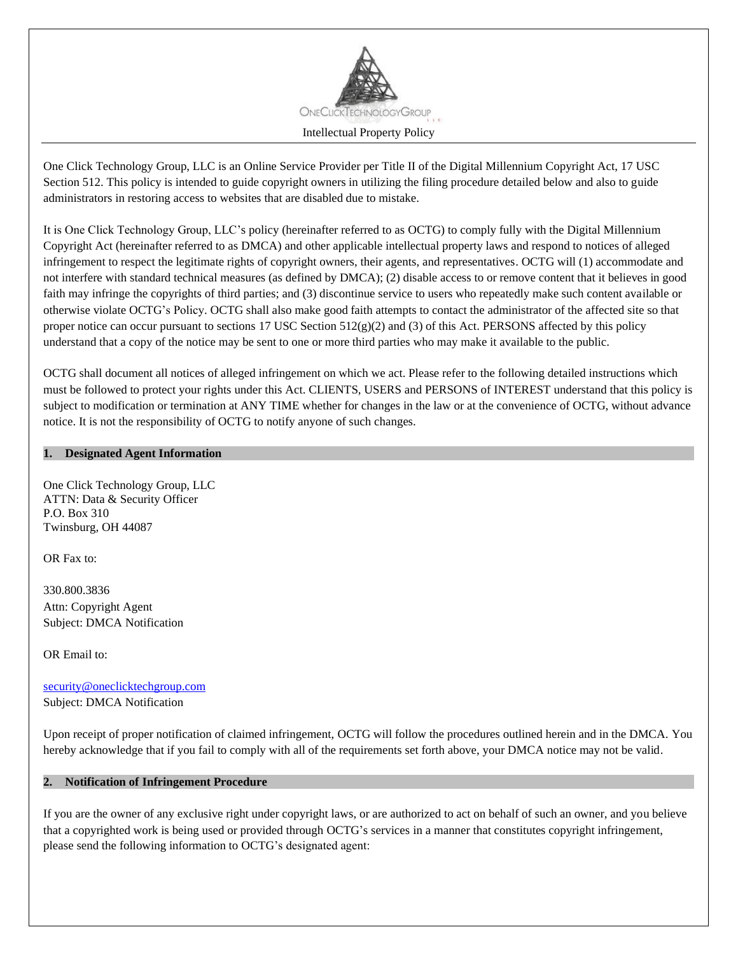

One Click Technology Group, LLC is an Online Service Provider per Title II of the Digital Millennium Copyright Act, 17 USC Section 512. This policy is intended to guide copyright owners in utilizing the filing procedure detailed below and also to guide administrators in restoring access to websites that are disabled due to mistake.

It is One Click Technology Group, LLC's policy (hereinafter referred to as OCTG) to comply fully with the Digital Millennium Copyright Act (hereinafter referred to as DMCA) and other applicable intellectual property laws and respond to notices of alleged infringement to respect the legitimate rights of copyright owners, their agents, and representatives. OCTG will (1) accommodate and not interfere with standard technical measures (as defined by DMCA); (2) disable access to or remove content that it believes in good faith may infringe the copyrights of third parties; and (3) discontinue service to users who repeatedly make such content available or otherwise violate OCTG's Policy. OCTG shall also make good faith attempts to contact the administrator of the affected site so that proper notice can occur pursuant to sections 17 USC Section  $512(g)(2)$  and (3) of this Act. PERSONS affected by this policy understand that a copy of the notice may be sent to one or more third parties who may make it available to the public.

OCTG shall document all notices of alleged infringement on which we act. Please refer to the following detailed instructions which must be followed to protect your rights under this Act. CLIENTS, USERS and PERSONS of INTEREST understand that this policy is subject to modification or termination at ANY TIME whether for changes in the law or at the convenience of OCTG, without advance notice. It is not the responsibility of OCTG to notify anyone of such changes.

#### **1. Designated Agent Information**

One Click Technology Group, LLC ATTN: Data & Security Officer P.O. Box 310 Twinsburg, OH 44087

OR Fax to:

330.800.3836 Attn: Copyright Agent Subject: DMCA Notification

OR Email to:

[security@oneclicktechgroup.com](mailto:security@oneclicktechgroup.com) Subject: DMCA Notification

Upon receipt of proper notification of claimed infringement, OCTG will follow the procedures outlined herein and in the DMCA. You hereby acknowledge that if you fail to comply with all of the requirements set forth above, your DMCA notice may not be valid.

#### **2. Notification of Infringement Procedure**

If you are the owner of any exclusive right under copyright laws, or are authorized to act on behalf of such an owner, and you believe that a copyrighted work is being used or provided through OCTG's services in a manner that constitutes copyright infringement, please send the following information to OCTG's designated agent: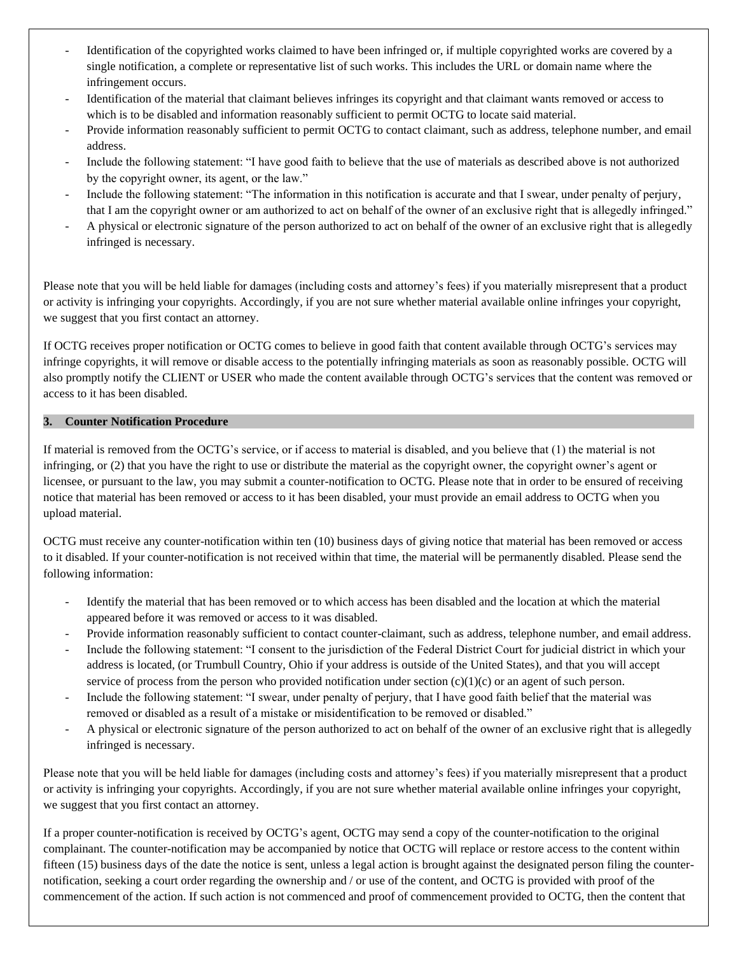- Identification of the copyrighted works claimed to have been infringed or, if multiple copyrighted works are covered by a single notification, a complete or representative list of such works. This includes the URL or domain name where the infringement occurs.
- Identification of the material that claimant believes infringes its copyright and that claimant wants removed or access to which is to be disabled and information reasonably sufficient to permit OCTG to locate said material.
- Provide information reasonably sufficient to permit OCTG to contact claimant, such as address, telephone number, and email address.
- Include the following statement: "I have good faith to believe that the use of materials as described above is not authorized by the copyright owner, its agent, or the law."
- Include the following statement: "The information in this notification is accurate and that I swear, under penalty of perjury, that I am the copyright owner or am authorized to act on behalf of the owner of an exclusive right that is allegedly infringed."
- A physical or electronic signature of the person authorized to act on behalf of the owner of an exclusive right that is allegedly infringed is necessary.

Please note that you will be held liable for damages (including costs and attorney's fees) if you materially misrepresent that a product or activity is infringing your copyrights. Accordingly, if you are not sure whether material available online infringes your copyright, we suggest that you first contact an attorney.

If OCTG receives proper notification or OCTG comes to believe in good faith that content available through OCTG's services may infringe copyrights, it will remove or disable access to the potentially infringing materials as soon as reasonably possible. OCTG will also promptly notify the CLIENT or USER who made the content available through OCTG's services that the content was removed or access to it has been disabled.

# **3. Counter Notification Procedure**

If material is removed from the OCTG's service, or if access to material is disabled, and you believe that (1) the material is not infringing, or (2) that you have the right to use or distribute the material as the copyright owner, the copyright owner's agent or licensee, or pursuant to the law, you may submit a counter-notification to OCTG. Please note that in order to be ensured of receiving notice that material has been removed or access to it has been disabled, your must provide an email address to OCTG when you upload material.

OCTG must receive any counter-notification within ten (10) business days of giving notice that material has been removed or access to it disabled. If your counter-notification is not received within that time, the material will be permanently disabled. Please send the following information:

- Identify the material that has been removed or to which access has been disabled and the location at which the material appeared before it was removed or access to it was disabled.
- Provide information reasonably sufficient to contact counter-claimant, such as address, telephone number, and email address.
- Include the following statement: "I consent to the jurisdiction of the Federal District Court for judicial district in which your address is located, (or Trumbull Country, Ohio if your address is outside of the United States), and that you will accept service of process from the person who provided notification under section  $(c)(1)(c)$  or an agent of such person.
- Include the following statement: "I swear, under penalty of perjury, that I have good faith belief that the material was removed or disabled as a result of a mistake or misidentification to be removed or disabled."
- A physical or electronic signature of the person authorized to act on behalf of the owner of an exclusive right that is allegedly infringed is necessary.

Please note that you will be held liable for damages (including costs and attorney's fees) if you materially misrepresent that a product or activity is infringing your copyrights. Accordingly, if you are not sure whether material available online infringes your copyright, we suggest that you first contact an attorney.

If a proper counter-notification is received by OCTG's agent, OCTG may send a copy of the counter-notification to the original complainant. The counter-notification may be accompanied by notice that OCTG will replace or restore access to the content within fifteen (15) business days of the date the notice is sent, unless a legal action is brought against the designated person filing the counternotification, seeking a court order regarding the ownership and / or use of the content, and OCTG is provided with proof of the commencement of the action. If such action is not commenced and proof of commencement provided to OCTG, then the content that